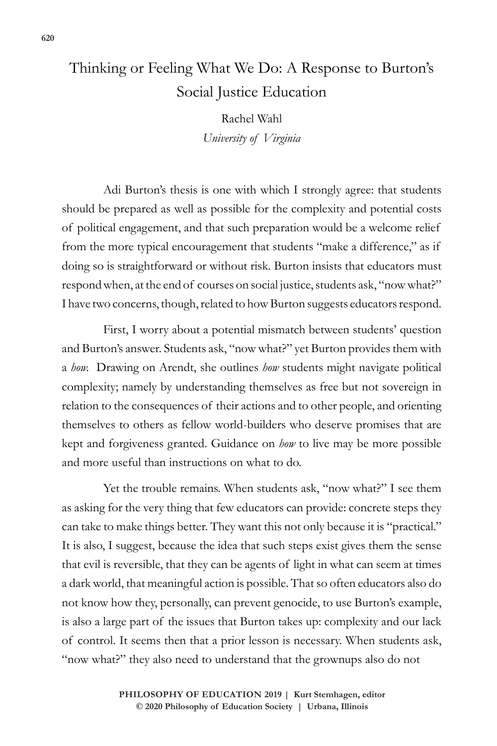## Thinking or Feeling What We Do: A Response to Burton's Social Justice Education

Rachel Wahl *University of Virginia*

Adi Burton's thesis is one with which I strongly agree: that students should be prepared as well as possible for the complexity and potential costs of political engagement, and that such preparation would be a welcome relief from the more typical encouragement that students "make a difference," as if doing so is straightforward or without risk. Burton insists that educators must respond when, at the end of courses on social justice, students ask, "now what?" I have two concerns, though, related to how Burton suggests educators respond.

First, I worry about a potential mismatch between students' question and Burton's answer. Students ask, "now what?" yet Burton provides them with a *how.* Drawing on Arendt, she outlines *how* students might navigate political complexity; namely by understanding themselves as free but not sovereign in relation to the consequences of their actions and to other people, and orienting themselves to others as fellow world-builders who deserve promises that are kept and forgiveness granted. Guidance on *how* to live may be more possible and more useful than instructions on what to do.

Yet the trouble remains. When students ask, "now what?" I see them as asking for the very thing that few educators can provide: concrete steps they can take to make things better. They want this not only because it is "practical." It is also, I suggest, because the idea that such steps exist gives them the sense that evil is reversible, that they can be agents of light in what can seem at times a dark world, that meaningful action is possible. That so often educators also do not know how they, personally, can prevent genocide, to use Burton's example, is also a large part of the issues that Burton takes up: complexity and our lack of control. It seems then that a prior lesson is necessary. When students ask, "now what?" they also need to understand that the grownups also do not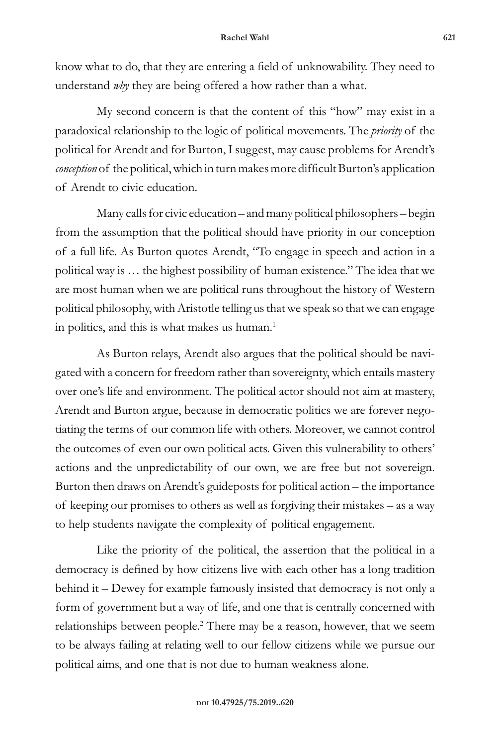## **Rachel Wahl 621**

know what to do, that they are entering a field of unknowability. They need to understand *why* they are being offered a how rather than a what.

My second concern is that the content of this "how" may exist in a paradoxical relationship to the logic of political movements. The *priority* of the political for Arendt and for Burton, I suggest, may cause problems for Arendt's *conception* of the political, which in turn makes more difficult Burton's application of Arendt to civic education.

Many calls for civic education – and many political philosophers – begin from the assumption that the political should have priority in our conception of a full life. As Burton quotes Arendt, "To engage in speech and action in a political way is … the highest possibility of human existence." The idea that we are most human when we are political runs throughout the history of Western political philosophy, with Aristotle telling us that we speak so that we can engage in politics, and this is what makes us human.<sup>1</sup>

As Burton relays, Arendt also argues that the political should be navigated with a concern for freedom rather than sovereignty, which entails mastery over one's life and environment. The political actor should not aim at mastery, Arendt and Burton argue, because in democratic politics we are forever negotiating the terms of our common life with others. Moreover, we cannot control the outcomes of even our own political acts. Given this vulnerability to others' actions and the unpredictability of our own, we are free but not sovereign. Burton then draws on Arendt's guideposts for political action – the importance of keeping our promises to others as well as forgiving their mistakes – as a way to help students navigate the complexity of political engagement.

Like the priority of the political, the assertion that the political in a democracy is defined by how citizens live with each other has a long tradition behind it – Dewey for example famously insisted that democracy is not only a form of government but a way of life, and one that is centrally concerned with relationships between people.<sup>2</sup> There may be a reason, however, that we seem to be always failing at relating well to our fellow citizens while we pursue our political aims, and one that is not due to human weakness alone.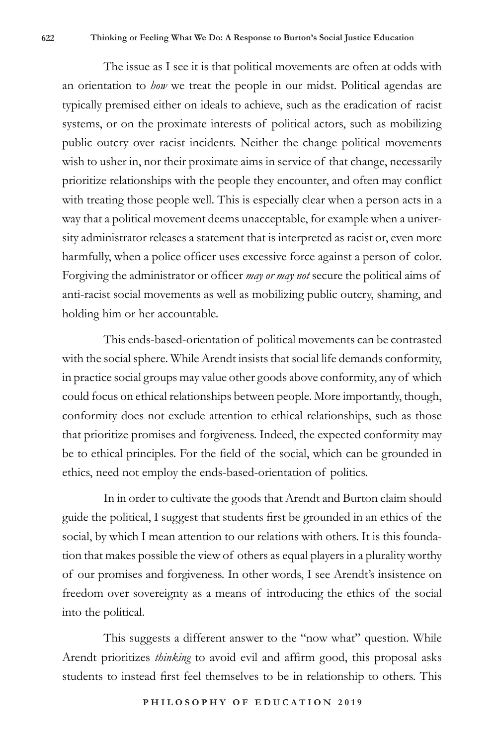The issue as I see it is that political movements are often at odds with an orientation to *how* we treat the people in our midst. Political agendas are typically premised either on ideals to achieve, such as the eradication of racist systems, or on the proximate interests of political actors, such as mobilizing public outcry over racist incidents. Neither the change political movements wish to usher in, nor their proximate aims in service of that change, necessarily prioritize relationships with the people they encounter, and often may conflict with treating those people well. This is especially clear when a person acts in a way that a political movement deems unacceptable, for example when a university administrator releases a statement that is interpreted as racist or, even more harmfully, when a police officer uses excessive force against a person of color. Forgiving the administrator or officer *may or may not* secure the political aims of anti-racist social movements as well as mobilizing public outcry, shaming, and holding him or her accountable.

This ends-based-orientation of political movements can be contrasted with the social sphere. While Arendt insists that social life demands conformity, in practice social groups may value other goods above conformity, any of which could focus on ethical relationships between people. More importantly, though, conformity does not exclude attention to ethical relationships, such as those that prioritize promises and forgiveness. Indeed, the expected conformity may be to ethical principles. For the field of the social, which can be grounded in ethics, need not employ the ends-based-orientation of politics.

In in order to cultivate the goods that Arendt and Burton claim should guide the political, I suggest that students first be grounded in an ethics of the social, by which I mean attention to our relations with others. It is this foundation that makes possible the view of others as equal players in a plurality worthy of our promises and forgiveness. In other words, I see Arendt's insistence on freedom over sovereignty as a means of introducing the ethics of the social into the political.

This suggests a different answer to the "now what" question. While Arendt prioritizes *thinking* to avoid evil and affirm good, this proposal asks students to instead first feel themselves to be in relationship to others. This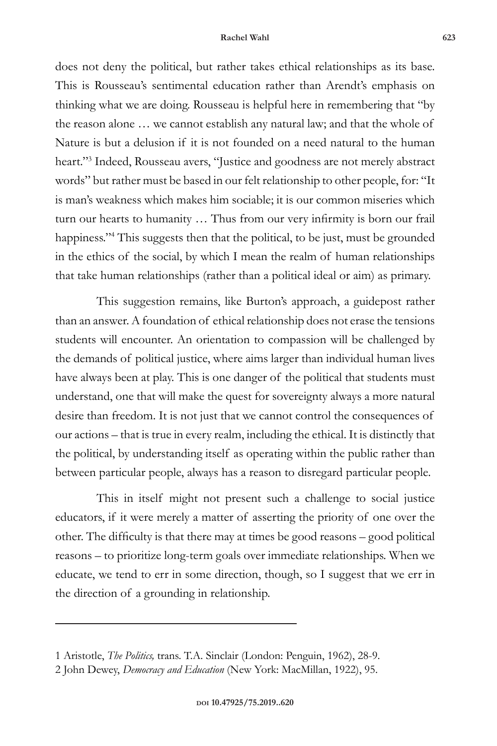## **Rachel Wahl 623**

does not deny the political, but rather takes ethical relationships as its base. This is Rousseau's sentimental education rather than Arendt's emphasis on thinking what we are doing. Rousseau is helpful here in remembering that "by the reason alone … we cannot establish any natural law; and that the whole of Nature is but a delusion if it is not founded on a need natural to the human heart."3 Indeed, Rousseau avers, "Justice and goodness are not merely abstract words" but rather must be based in our felt relationship to other people, for: "It is man's weakness which makes him sociable; it is our common miseries which turn our hearts to humanity … Thus from our very infirmity is born our frail happiness."4 This suggests then that the political, to be just, must be grounded in the ethics of the social, by which I mean the realm of human relationships that take human relationships (rather than a political ideal or aim) as primary.

This suggestion remains, like Burton's approach, a guidepost rather than an answer. A foundation of ethical relationship does not erase the tensions students will encounter. An orientation to compassion will be challenged by the demands of political justice, where aims larger than individual human lives have always been at play. This is one danger of the political that students must understand, one that will make the quest for sovereignty always a more natural desire than freedom. It is not just that we cannot control the consequences of our actions – that is true in every realm, including the ethical. It is distinctly that the political, by understanding itself as operating within the public rather than between particular people, always has a reason to disregard particular people.

This in itself might not present such a challenge to social justice educators, if it were merely a matter of asserting the priority of one over the other. The difficulty is that there may at times be good reasons – good political reasons – to prioritize long-term goals over immediate relationships. When we educate, we tend to err in some direction, though, so I suggest that we err in the direction of a grounding in relationship.

<sup>1</sup> Aristotle, *The Politics,* trans. T.A. Sinclair (London: Penguin, 1962), 28-9.

<sup>2</sup> John Dewey, *Democracy and Education* (New York: MacMillan, 1922), 95.